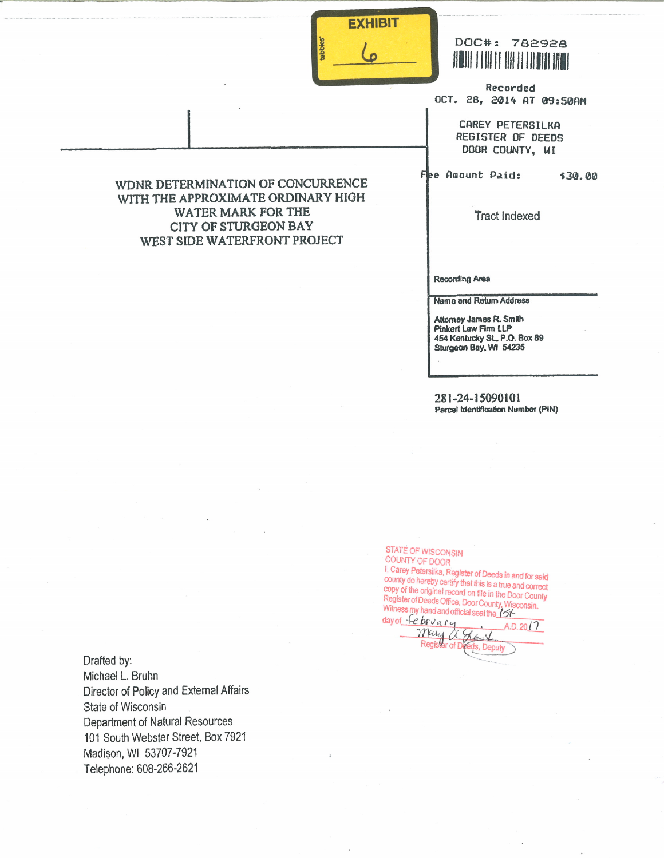



Recorded OCT. 28, 2014 AT 09:50AM

> CAREY PETERSILKA **REGISTER OF DEEDS** DOOR COUNTY, WI

Fee Amount Paid:

\$30.00

**Tract Indexed** 

Recording Area

Name and Return Address

Attorney James R. Smith Pinkert Law Firm LLP 454 Kentucky St., P.O. Box 89 Sturgeon Bay, WI 54235

281-24-15090101 Parcel Identification Number (PIN)

STATÉ OF WISCONSIN COUNTY OF DOOR

I, Carey Petersilka, Register of Deeds in and for said<br>county do hereby certify that this is a true and correct copy of the original record on file in the Door County Register of Deeds Office, Door County, Wisconsin. Witness my hand and official seal the 151

day of <del>Le br</del> v a r y<br>Muy L Chast<br>Register of Dreets, Depu  $A.D. 2017$ eeds, Deputy

Drafted by: Michael L. Bruhn Director of Policy and External Affairs State of Wisconsin Department of Natural Resources 101 South Webster Street, Box 7921 Madison, WI 53707-7921 Telephone: 608-266-2621

## WDNR DETERMINATION OF CONCURRENCE WITH THE APPROXIMATE ORDINARY HIGH WATER MARK FOR THE **CITY OF STURGEON BAY** WEST SIDE WATERFRONT PROJECT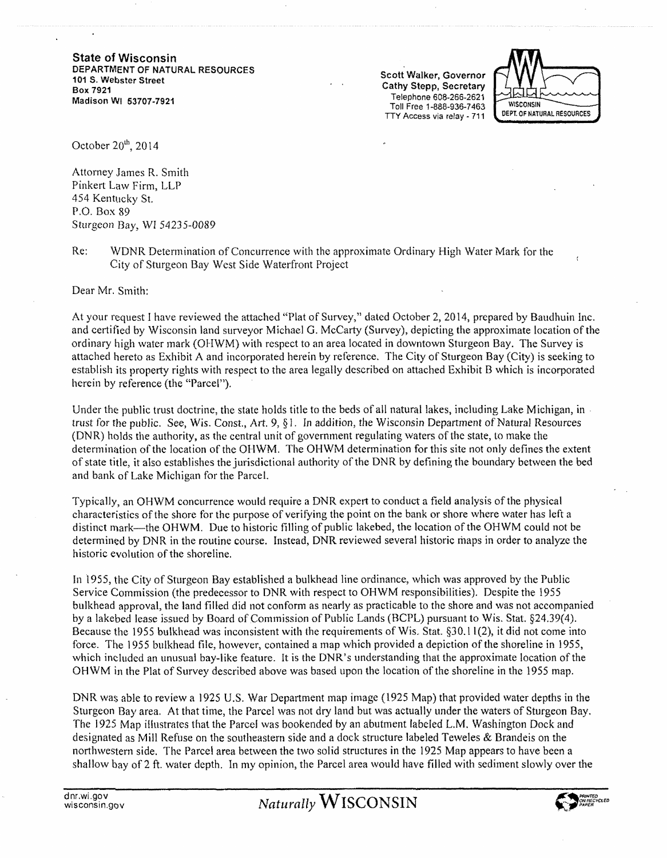**State of Wisconsin**  DEPARTMENT OF NATURAL RESOURCES 101 S. Webster Street Box 7921 Madison WI 53707-7921

Scott Walker. Governor Cathy Stepp, Secretary Telephone 608-266-2621 Toll Free 1-888-936-7463 TTY Access via relay - 711



October  $20^{\text{m}}$ , 2014

Attorney James R. Smith Pinkert Law Firm, LLP 454 Kentucky St. P.O. Box 89 Sturgeon Bay, WI 54235-0089

Re: WDNR Determination of Concurrence with the approximate Ordinary High Water Mark for the City of Sturgeon Bay West Side Waterfront Project

Dear Mr. Smith:

At your request I have reviewed the attached "Plat of Survey," dated October 2, 2014, prepared by Baudhuin Inc. and certified by \Visconsin land surveyor Michael G. McCarty (Survey), depicting the approximate location of the ordinary high water mark (OHWM) with respect to an area located in downtown Sturgeon Bay. The Survey is attached hereto as Exhibit A and incorporated herein by reference. The City of Sturgeon Bay (City) is seeking to establish its property rights with respect to the area legally described on attached Exhibit B which is incorporated herein by reference (the "Parcel").

Under the public trust doctrine, the state holds title to the beds of all natural lakes, including Lake Michigan, in trust for the public. See, Wis. Const.} Art. 9, § 1. In addition, the Wisconsin Department of Natural Resources (DNR) holds the authority, as the central unit of government regulating waters of the state, to make the determination of the location of the OHWM. The OHWM determination for this site not only defines the extent of state title, it also establishes the jurisdictional authority of the DNR by defining the boundary between the bed and bank of Lake Michigan for the ParceL

Typically, an OHWM concurrence would require a DNR expert to conduct a field analysis of the physical characteristics of the shore for the purpose of verifYing the point on the bank or shore where water has left a distinct mark-the OHWM. Due to historic filling of public lakebed, the location of the OHWM could not be determined by DNR in the routine course. Instead, DNR reviewed several historic maps in order to analyze the historic evolution of the shoreline.

In 1955, the City of Sturgeon Bay established a bulkhead line ordinance, which was approved by the Public Service Commission (the predecessor to DNR with respect to OHWM responsibilities). Despite the 1955 bulkhead approval, the land filled did not conform as nearly as practicable to the shore and was not accompanied by a lakebed lease issued by Board of Commission of Public Lands (BCPL) pursuant to \Vis. Stat. §24.39(4). Because the 1955 bulkhead was inconsistent with the requirements of Wis. Stat §30.11(2), it did not come into force. The 1955 bulkhead file, however, contained a map which provided a depiction of the shoreline in 1955, which included an unusual bay-like feature. It is the DNR's understanding that the approximate location of the OHWM in the Plat of Survey described above was based upon the location of the shoreline in the 1955 map.

DNR was able to review a 1925 U.S. War Department map image (1925 Map) that provided water depths in the Sturgeon Bay area. At that time, the Parcel was not dry land but was actually under the waters of Sturgeon Bay. The 1925 Map illustrates that the Parcel was bookended by an abutment labeled L.M. Washington Dock and designated as Mill Refuse on the southeastern side and a dock structure labeled Teweles & Brandeis on the northwestern side. The Parcel area between the two solid structures in the 1925 Map appears to have been a shallow bay of2 ft. water depth. In my opinion, the Parcel area would have filled with sediment slowly over the

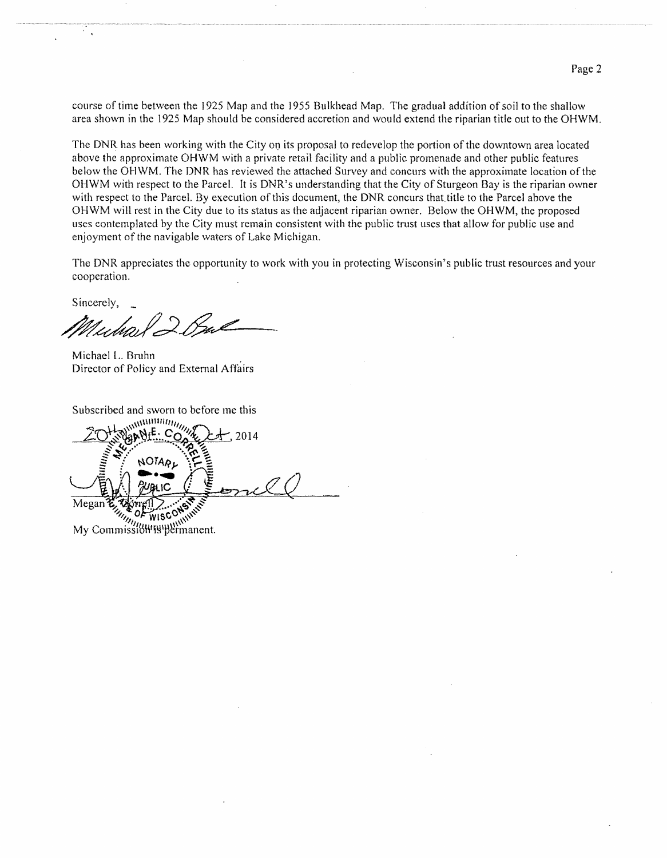Page 2

course of time between the 1925 Map and the 1955 Bulkhead Map. The gradual addition of soil to the shallow area shown in the 1925 Map should be considered accretion and would extend the riparian title out to the OHWM.

The DNR has been working with the City on its proposal to redevelop the portion of the downtown area located above the approximate OHWM with a private retail facility and a public promenade and other public features below the OHWM. The DNR has reviewed the attached Survey and concurs with the approximate location of the OHWM with respect to the ParceL It is DNR's understanding that the City of Sturgeon Bay is the riparian owner with respect to the Parcel. By execution of this document, the DNR concurs that title to the Parcel above the OHWM will rest in the City due to its status as the adjacent riparian owner. Below the OHWM, the proposed uses contemplated by the City must remain consistent with the public trust uses that allow for public use and enjoyment of the navigable waters of Lake Michigan.

The DNR appreciates the opportunity to work with you in protecting Wisconsin's public trust resources and your cooperation.

Sincerely,

 $\overline{\phantom{a}}$ 

(p) 2 But

Michael L. Bruhn Director of Policy and External Affairs

Subscribed and sworn to before me this

 $M_{\rm M}$ 2014 NOTARI Megan *the District Community of WISCONS* Megan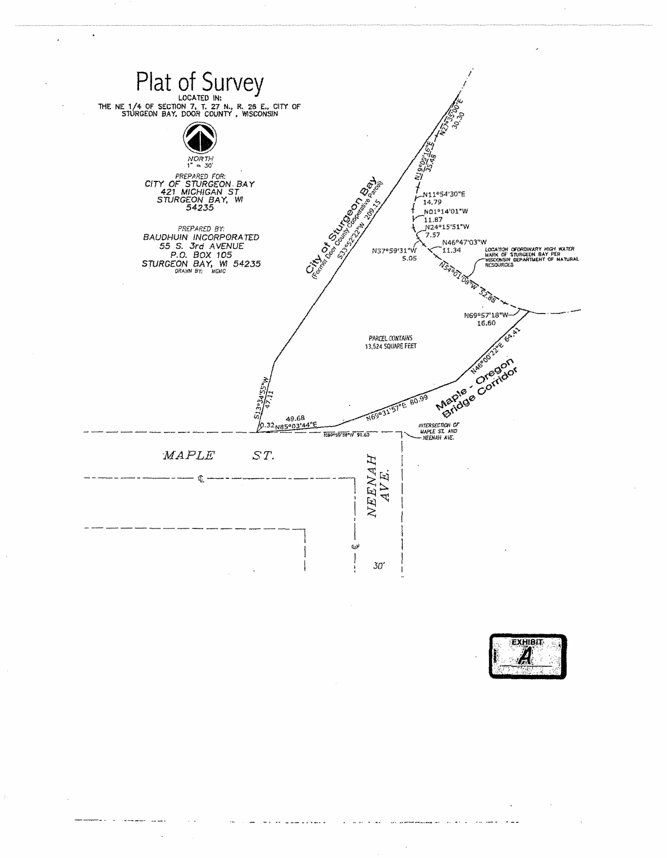

**EXHIBIT:**  $\boldsymbol{\mathit{p}}$ 

and an announcement and the com-